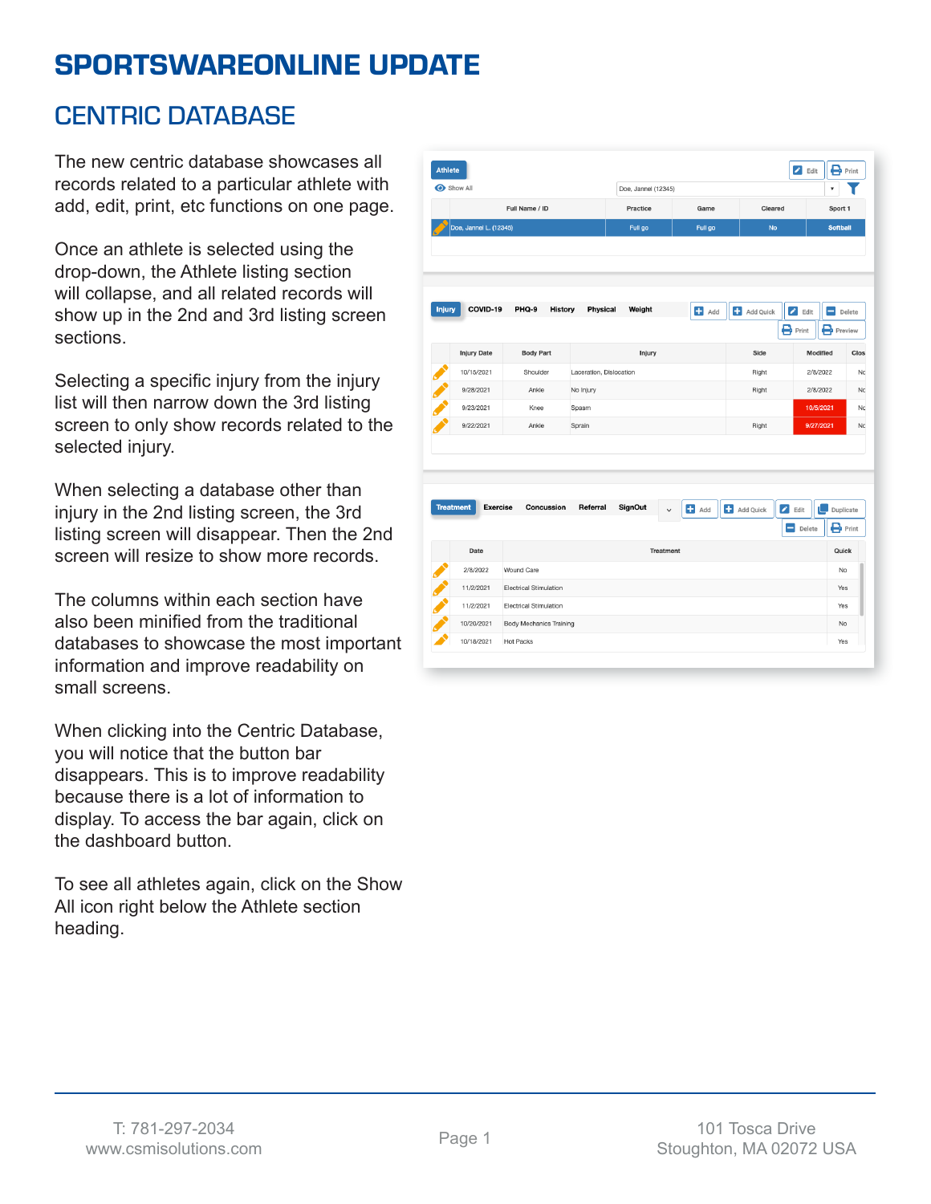# SPORTSWAREONLINE UPDATE

#### CENTRIC DATABASE

The new centric database showcases all records related to a particular athlete with add, edit, print, etc functions on one page.

Once an athlete is selected using the drop-down, the Athlete listing section will collapse, and all related records will show up in the 2nd and 3rd listing screen sections.

Selecting a specific injury from the injury list will then narrow down the 3rd listing screen to only show records related to the selected injury.

When selecting a database other than injury in the 2nd listing screen, the 3rd listing screen will disappear. Then the 2nd screen will resize to show more records.

The columns within each section have also been minified from the traditional databases to showcase the most important information and improve readability on small screens.

When clicking into the Centric Database, you will notice that the button bar disappears. This is to improve readability because there is a lot of information to display. To access the bar again, click on the dashboard button.

To see all athletes again, click on the Show All icon right below the Athlete section heading.

|                                     |                                                                 |                         | Doe, Jannel (12345) |                    |           |                                                    | ۷                                               |  |  |
|-------------------------------------|-----------------------------------------------------------------|-------------------------|---------------------|--------------------|-----------|----------------------------------------------------|-------------------------------------------------|--|--|
|                                     | Full Name / ID                                                  |                         | Practice            | Game               | Cleared   |                                                    | Sport 1                                         |  |  |
| Doe, Jannel L. (12345)              |                                                                 |                         | Full go             | Full go            | <b>No</b> |                                                    |                                                 |  |  |
|                                     |                                                                 |                         |                     |                    |           |                                                    |                                                 |  |  |
|                                     |                                                                 |                         |                     |                    |           |                                                    |                                                 |  |  |
| COVID-19<br><b>Injury</b>           | PHQ-9<br><b>History</b>                                         | Physical                | Weight              | Add                | Add Quick | $\bigtriangledown$ Edit<br>$\mathbf{B}$ Print<br>в | Ξ<br>Delete<br>Preview                          |  |  |
| <b>Injury Date</b>                  | <b>Body Part</b>                                                |                         | Injury              |                    | Side      | Modified                                           | Clos                                            |  |  |
| 10/15/2021                          | Shoulder                                                        | Laceration, Dislocation |                     |                    | Right     | 2/8/2022                                           |                                                 |  |  |
| 9/28/2021                           | Ankle                                                           | No Injury               |                     |                    | Right     | 2/8/2022                                           |                                                 |  |  |
| 9/23/2021                           | Knee                                                            | Spasm                   |                     |                    |           |                                                    | 10/5/2021                                       |  |  |
| 9/22/2021                           | Ankle                                                           | Sprain                  |                     |                    | Right     |                                                    | 9/27/2021                                       |  |  |
|                                     | Concussion                                                      | Referral                | <b>SignOut</b>      | $\blacksquare$ Add | Add Quick | $\bigtriangledown$ Edit<br>U                       | Duplicate                                       |  |  |
| <b>Treatment</b><br><b>Exercise</b> |                                                                 |                         |                     |                    |           |                                                    |                                                 |  |  |
|                                     |                                                                 |                         |                     |                    |           | -<br>Delete                                        |                                                 |  |  |
| Date                                |                                                                 |                         | <b>Treatment</b>    |                    |           |                                                    | Quick                                           |  |  |
| 2/8/2022                            | Wound Care                                                      |                         |                     |                    |           |                                                    | No                                              |  |  |
| 11/2/2021                           | <b>Electrical Stimulation</b>                                   |                         |                     |                    |           |                                                    | Yes                                             |  |  |
| 11/2/2021<br>10/20/2021             | <b>Electrical Stimulation</b><br><b>Body Mechanics Training</b> |                         |                     |                    |           |                                                    | $\mathbf{P}_{\text{Print}}$<br>Yes<br><b>No</b> |  |  |